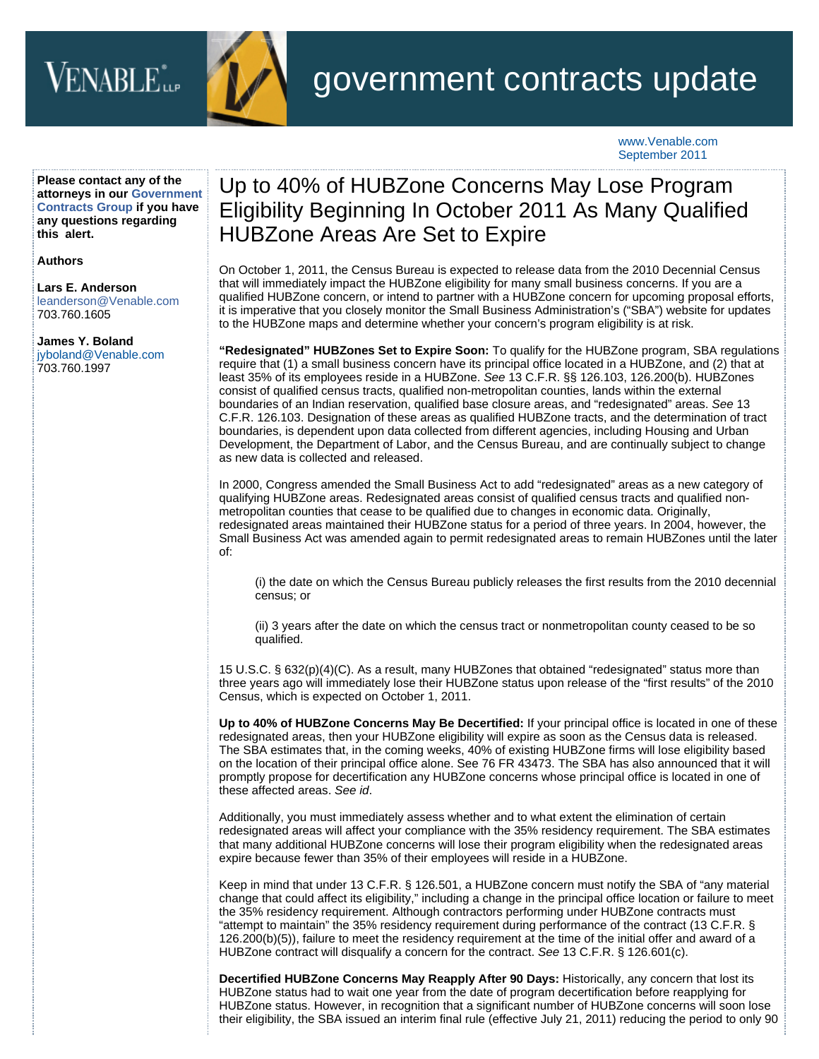## VENABLE<sup>\*</sup>



## government contracts update

www.Venable.com September 2011

**Please contact any of the attorneys in our [Government](http://www.venable.com/services/practices/ServiceDetail.aspx?service=129&view=pros) [Contracts Group](http://www.venable.com/services/practices/ServiceDetail.aspx?service=129&view=pros) if you have any questions regarding this alert.**

**Authors**

**[Lars E. Anderson](http://www.venable.com/lars-e-anderson/)** leanderson@Venable.com 703.760.1605

**[James Y. Boland](http://www.venable.com/james-y-boland/)** jyboland@Venable.com 703.760.1997

## Up to 40% of HUBZone Concerns May Lose Program Eligibility Beginning In October 2011 As Many Qualified HUBZone Areas Are Set to Expire

On October 1, 2011, the Census Bureau is expected to release data from the 2010 Decennial Census that will immediately impact the HUBZone eligibility for many small business concerns. If you are a qualified HUBZone concern, or intend to partner with a HUBZone concern for upcoming proposal efforts, it is imperative that you closely monitor the Small Business Administration's ("SBA") website for updates to the HUBZone maps and determine whether your concern's program eligibility is at risk.

**"Redesignated" HUBZones Set to Expire Soon:** To qualify for the HUBZone program, SBA regulations require that (1) a small business concern have its principal office located in a HUBZone, and (2) that at least 35% of its employees reside in a HUBZone. *See* 13 C.F.R. §§ 126.103, 126.200(b). HUBZones consist of qualified census tracts, qualified non-metropolitan counties, lands within the external boundaries of an Indian reservation, qualified base closure areas, and "redesignated" areas. *See* 13 C.F.R. 126.103. Designation of these areas as qualified HUBZone tracts, and the determination of tract boundaries, is dependent upon data collected from different agencies, including Housing and Urban Development, the Department of Labor, and the Census Bureau, and are continually subject to change as new data is collected and released.

In 2000, Congress amended the Small Business Act to add "redesignated" areas as a new category of qualifying HUBZone areas. Redesignated areas consist of qualified census tracts and qualified nonmetropolitan counties that cease to be qualified due to changes in economic data. Originally, redesignated areas maintained their HUBZone status for a period of three years. In 2004, however, the Small Business Act was amended again to permit redesignated areas to remain HUBZones until the later of:

(i) the date on which the Census Bureau publicly releases the first results from the 2010 decennial census; or

(ii) 3 years after the date on which the census tract or nonmetropolitan county ceased to be so qualified.

15 U.S.C. § 632(p)(4)(C). As a result, many HUBZones that obtained "redesignated" status more than three years ago will immediately lose their HUBZone status upon release of the "first results" of the 2010 Census, which is expected on October 1, 2011.

**Up to 40% of HUBZone Concerns May Be Decertified:** If your principal office is located in one of these redesignated areas, then your HUBZone eligibility will expire as soon as the Census data is released. The SBA estimates that, in the coming weeks, 40% of existing HUBZone firms will lose eligibility based on the location of their principal office alone. See 76 FR 43473. The SBA has also announced that it will promptly propose for decertification any HUBZone concerns whose principal office is located in one of these affected areas. *See id*.

Additionally, you must immediately assess whether and to what extent the elimination of certain redesignated areas will affect your compliance with the 35% residency requirement. The SBA estimates that many additional HUBZone concerns will lose their program eligibility when the redesignated areas expire because fewer than 35% of their employees will reside in a HUBZone.

Keep in mind that under 13 C.F.R. § 126.501, a HUBZone concern must notify the SBA of "any material change that could affect its eligibility," including a change in the principal office location or failure to meet the 35% residency requirement. Although contractors performing under HUBZone contracts must "attempt to maintain" the 35% residency requirement during performance of the contract (13 C.F.R. § 126.200(b)(5)), failure to meet the residency requirement at the time of the initial offer and award of a HUBZone contract will disqualify a concern for the contract. *See* 13 C.F.R. § 126.601(c).

**Decertified HUBZone Concerns May Reapply After 90 Days:** Historically, any concern that lost its HUBZone status had to wait one year from the date of program decertification before reapplying for HUBZone status. However, in recognition that a significant number of HUBZone concerns will soon lose their eligibility, the SBA issued an interim final rule (effective July 21, 2011) reducing the period to only 90